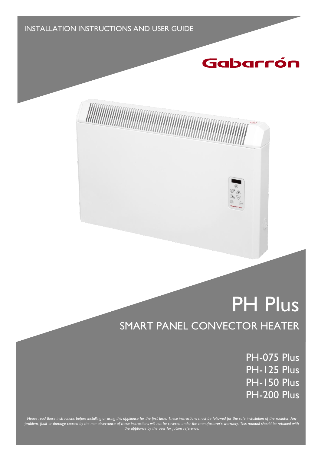INSTALLATION INSTRUCTIONS AND USER GUIDE

## Gabarrón

# PH Plus SMART PANEL CONVECTOR HEATER

PH-075 Plus PH-125 Plus PH-150 Plus PH-200 Plus

*Please read these instructions before installing or using this appliance for the first time. These instructions must be followed for the safe installation of the radiator. Any problem, fault or damage caused by the non-observance of these instructions will not be covered under the manufacturer's warranty. This manual should be retained with the appliance by the user for future reference.*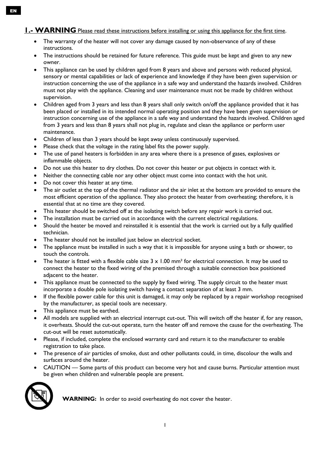### **1.- WARNING** Please read these instructions before installing or using this appliance for the first time.

- The warranty of the heater will not cover any damage caused by non-observance of any of these instructions.
- The instructions should be retained for future reference. This guide must be kept and given to any new owner.
- This appliance can be used by children aged from 8 years and above and persons with reduced physical, sensory or mental capabilities or lack of experience and knowledge if they have been given supervision or instruction concerning the use of the appliance in a safe way and understand the hazards involved. Children must not play with the appliance. Cleaning and user maintenance must not be made by children without supervision.
- Children aged from 3 years and less than 8 years shall only switch on/off the appliance provided that it has been placed or installed in its intended normal operating position and they have been given supervision or instruction concerning use of the appliance in a safe way and understand the hazards involved. Children aged from 3 years and less than 8 years shall not plug in, regulate and clean the appliance or perform user maintenance.
- Children of less than 3 years should be kept away unless continuously supervised.
- Please check that the voltage in the rating label fits the power supply.
- The use of panel heaters is forbidden in any area where there is a presence of gases, explosives or inflammable objects.
- Do not use this heater to dry clothes. Do not cover this heater or put objects in contact with it.
- Neither the connecting cable nor any other object must come into contact with the hot unit.
- Do not cover this heater at any time.
- The air outlet at the top of the thermal radiator and the air inlet at the bottom are provided to ensure the most efficient operation of the appliance. They also protect the heater from overheating; therefore, it is essential that at no time are they covered.
- This heater should be switched off at the isolating switch before any repair work is carried out.
- The installation must be carried out in accordance with the current electrical regulations.
- Should the heater be moved and reinstalled it is essential that the work is carried out by a fully qualified technician.
- The heater should not be installed just below an electrical socket.
- The appliance must be installed in such a way that it is impossible for anyone using a bath or shower, to touch the controls.
- The heater is fitted with a flexible cable size  $3 \times 1.00$  mm<sup>2</sup> for electrical connection. It may be used to connect the heater to the fixed wiring of the premised through a suitable connection box positioned adjacent to the heater.
- This appliance must be connected to the supply by fixed wiring. The supply circuit to the heater must incorporate a double pole isolating switch having a contact separation of at least 3 mm.
- If the flexible power cable for this unit is damaged, it may only be replaced by a repair workshop recognised by the manufacturer, as special tools are necessary.
- This appliance must be earthed.
- All models are supplied with an electrical interrupt cut-out. This will switch off the heater if, for any reason, it overheats. Should the cut-out operate, turn the heater off and remove the cause for the overheating. The cut-out will be reset automatically.
- Please, if included, complete the enclosed warranty card and return it to the manufacturer to enable registration to take place.
- The presence of air particles of smoke, dust and other pollutants could, in time, discolour the walls and surfaces around the heater.
- CAUTION Some parts of this product can become very hot and cause burns. Particular attention must be given when children and vulnerable people are present.



• **WARNING:** In order to avoid overheating do not cover the heater.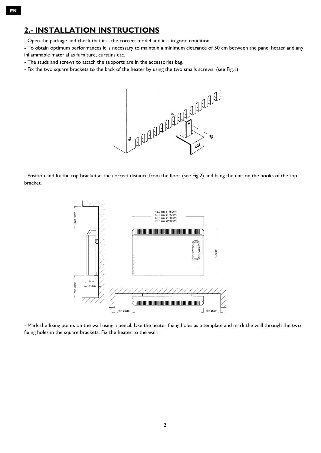- Open the package and check that it is the correct model and it is in good condition.

- To obtain optimum performances it is necessary to maintain a minimum clearance of 50 cm between the panel heater and any

- inflammable material as furniture, curtains etc.
- The studs and screws to attach the supports are in the accessories bag.
- Fix the two square brackets to the back of the heater by using the two smalls screws. (see Fig.1)



- Position and fix the top bracket at the correct distance from the floor (see Fig.2) and hang the unit on the hooks of the top bracket.



- Mark the fixing points on the wall using a pencil. Use the heater fixing holes as a template and mark the wall through the two fixing holes in the square brackets. Fix the heater to the wall.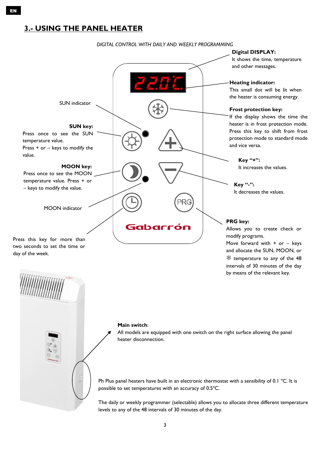## **3.- USING THE PANEL HEATER**

EN

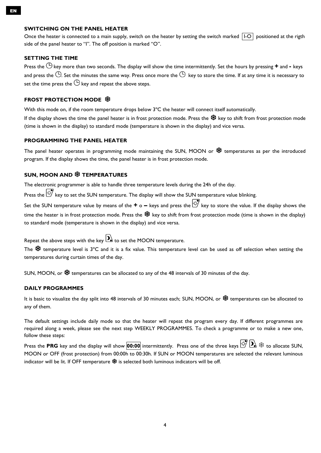#### **SWITCHING ON THE PANEL HEATER**

Once the heater is connected to a main supply, switch on the heater by setting the switch marked  $|I-O|$  positioned at the rigth side of the panel heater to "I". The off position is marked "O".

#### **SETTING THE TIME**

Press the  $\Theta$  key more than two seconds. The display will show the time intermittently. Set the hours by pressing  $+$  and  $-$  keys and press the  $\Theta$ . Set the minutes the same way. Press once more the  $\Theta$  key to store the time. If at any time it is necessary to set the time press the  $\bigcirc$  key and repeat the above steps.

#### **FROST PROTECTION MODE**

With this mode on, if the room temperature drops below 3°C the heater will connect itself automatically.

If the display shows the time the panel heater is in frost protection mode. Press the  $\mathcal{H}$  key to shift from frost protection mode (time is shown in the display) to standard mode (temperature is shown in the display) and vice versa.

#### **PROGRAMMING THE PANEL HEATER**

The panel heater operates in programming mode maintaining the SUN, MOON or « \$ temperatures as per the introduced program. If the display shows the time, the panel heater is in frost protection mode.

#### **SUN, MOON AND TEMPERATURES**

The electronic programmer is able to handle three temperature levels during the 24h of the day.

Press the  $\ddot{\otimes}$  key to set the SUN temperature. The display will show the SUN temperature value blinking.

Set the SUN temperature value by means of the **+** o **–** keys and press the key to store the value. If the display shows the time the heater is in frost protection mode. Press the  $*$  key to shift from frost protection mode (time is shown in the display) to standard mode (temperature is shown in the display) and vice versa.

Repeat the above steps with the key  $\sum$  to set the MOON temperature.

The  $*$  temperature level is 3°C and it is a fix value. This temperature level can be used as off selection when setting the temperatures during curtain times of the day.

SUN, MOON, or  $\mathcal{K}$  temperatures can be allocated to any of the 48 intervals of 30 minutes of the day.

#### **DAILY PROGRAMMES**

It is basic to visualize the day split into 48 intervals of 30 minutes each; SUN, MOON, or ※ temperatures can be allocated to any of them.

The default settings include daily mode so that the heater will repeat the program every day. If different programmes are required along a week, please see the next step WEEKLY PROGRAMMES. To check a programme or to make a new one, follow these steps:

Press the PRG key and the display will show **00:00** intermittently. Press one of the three keys  $\overline{D}$   $\otimes$   $\otimes$  to allocate SUN, MOON or OFF (frost protection) from 00:00h to 00:30h. If SUN or MOON temperatures are selected the relevant luminous indicator will be lit. If OFF temperature  $\mathcal *$  is selected both luminous indicators will be off.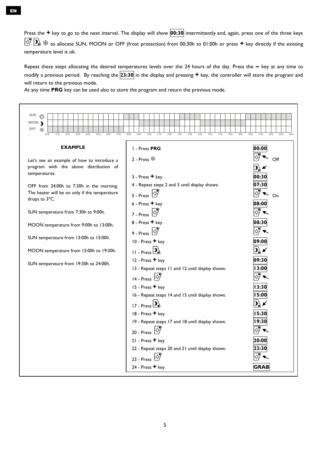Press the **+** key to go to the next interval. The display will show **00:30** intermittently and, again, press one of the three keys to allocate SUN, MOON or OFF (frost protection) from 00:30h to 01:00h or press **+** key directly if the existing temperature level is ok.

Repeat these steps allocating the desired temperatures levels over the 24 hours of the day. Press the **–** key at any time to modify a previous period. By reaching the **23:30** in the display and pressing **+** key, the controller will store the program and will return to the previous mode.

At any time **PRG** key can be used also to store the program and return the previous mode.

| <b>SUN</b><br><br>MOON )<br>OFF<br>╬<br>00:00<br>01:00<br>02:00<br>03:00<br>04:00<br>05:00<br>06:00<br>07:00                                                                                                                                                                                                                                                                                                                         | 08:00<br>09:00<br>10:00<br>11:00<br>12:00<br>13:00<br>14:00<br>15:00<br>16:00<br>17:00<br>18:00<br>19:00<br>20:00                                                                                                                                                                                                                                                                                                                                                                                                                                                                                             | 21:00<br>22:00<br>23:00<br>24:00                                                                                                       |
|--------------------------------------------------------------------------------------------------------------------------------------------------------------------------------------------------------------------------------------------------------------------------------------------------------------------------------------------------------------------------------------------------------------------------------------|---------------------------------------------------------------------------------------------------------------------------------------------------------------------------------------------------------------------------------------------------------------------------------------------------------------------------------------------------------------------------------------------------------------------------------------------------------------------------------------------------------------------------------------------------------------------------------------------------------------|----------------------------------------------------------------------------------------------------------------------------------------|
| <b>EXAMPLE</b>                                                                                                                                                                                                                                                                                                                                                                                                                       | I - Press PRG                                                                                                                                                                                                                                                                                                                                                                                                                                                                                                                                                                                                 | 00:00                                                                                                                                  |
| Let's see an example of how to introduce a<br>program with the above distribution of<br>temperatures.<br>OFF from 24:00h to 7:30h in the morning.<br>The heater will be on only if the temperature<br>drops to 3°C.<br>SUN temperature from 7:30h to 9:00h.<br>MOON temperature from 9:00h to 13:00h.<br>SUN temperature from 13:00h to 15:00h.<br>MOON temperature from 15:00h to 19:30h.<br>SUN temperature from 19:30h to 24:00h. | 2 - Press $\frac{4}{3}$<br>$3 - Press + key$<br>4 - Repeat steps 2 and 3 until display shows:<br>5 - Press<br>$6$ - Press $+$ key<br>7 - Press $\left \phi\right $<br>8 - Press + key<br>9 - Press $\overline{\mathfrak{B}}$<br>10 - Press + key<br>$\frac{1}{11}$ - Press $2$<br>12 - Press + key<br>13 - Repeat steps 11 and 12 until display shows:<br>14 - Press $\overline{\mathfrak{B}}$<br>15 - Press + key<br>16 - Repeat steps 14 and 15 until display shows:<br>$17 - Press$ <sup>D</sup><br>18 - Press + key<br>19 - Repeat steps 17 and 18 until display shows:<br>20 - Press<br>21 - Press + key | Off<br>00:30<br>07:30<br>On<br>08:00<br>08:30<br>09:00<br>09:30<br>13:00<br>13:30<br>15:00<br>$\mathbf{D}'$<br>15:30<br>19:30<br>20:00 |
|                                                                                                                                                                                                                                                                                                                                                                                                                                      | 22 - Repeat steps 20 and 21 until display shows:                                                                                                                                                                                                                                                                                                                                                                                                                                                                                                                                                              | 23:30                                                                                                                                  |
|                                                                                                                                                                                                                                                                                                                                                                                                                                      | $23 - Press$                                                                                                                                                                                                                                                                                                                                                                                                                                                                                                                                                                                                  |                                                                                                                                        |
|                                                                                                                                                                                                                                                                                                                                                                                                                                      | 24 - Press + key                                                                                                                                                                                                                                                                                                                                                                                                                                                                                                                                                                                              | <b>GRAB</b>                                                                                                                            |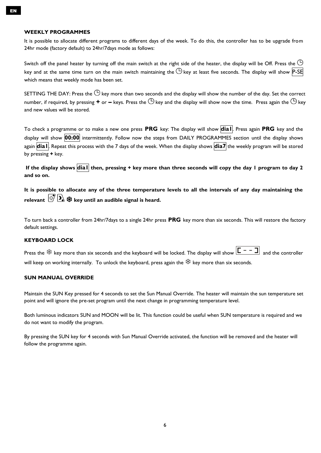#### **WEEKLY PROGRAMMES**

It is possible to allocate different programs to different days of the week. To do this, the controller has to be upgrade from 24hr mode (factory default) to 24hr/7days mode as follows:

Switch off the panel heater by turning off the main switch at the right side of the heater, the display will be Off. Press the  $\Theta$ key and at the same time turn on the main switch maintaining the  $\bigoplus$  key at least five seconds. The display will show P-SE which means that weekly mode has been set.

SETTING THE DAY: Press the  $\bigcirc$  key more than two seconds and the display will show the number of the day. Set the correct number, if required, by pressing  $+$  or  $-$  keys. Press the  $\bigcirc$  key and the display will show now the time. Press again the  $\bigcirc$  key and new values will be stored.

To check a programme or to make a new one press **PRG** key: The display will show **dia1**. Press again **PRG** key and the display will show **00:00** intermittently. Follow now the steps from DAILY PROGRAMMES section until the display shows again **dia1**. Repeat this process with the 7 days of the week. When the display shows **dia7** the weekly program will be stored by pressing **+** key.

**If the display shows dia1 then, pressing + key more than three seconds will copy the day 1 program to day 2 and so on.**

**It is possible to allocate any of the three temperature levels to all the intervals of any day maintaining the relevant**  $\mathbb{E}^{\mathcal{P}}$   $\mathbf{D}_k$   $\mathcal{R}$  key until an audible signal is heard.

To turn back a controller from 24hr/7days to a single 24hr press **PRG** key more than six seconds. This will restore the factory default settings.

#### **KEYBOARD LOCK**

Press the  $\frac{4k}{3}$  key more than six seconds and the keyboard will be locked. The display will show  $\boxed{C - - \Box}$  and the controller will keep on working internally. To unlock the keyboard, press again the  $*$  key more than six seconds.

#### **SUN MANUAL OVERRIDE**

Maintain the SUN Key pressed for 4 seconds to set the Sun Manual Override. The heater will maintain the sun temperature set point and will ignore the pre-set program until the next change in programming temperature level.

Both luminous indicators SUN and MOON will be lit. This function could be useful when SUN temperature is required and we do not want to modify the program.

By pressing the SUN key for 4 seconds with Sun Manual Override activated, the function will be removed and the heater will follow the programme again.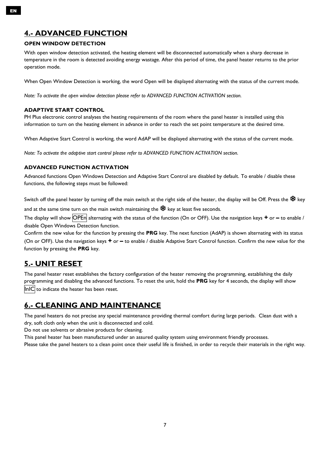## **4.- ADVANCED FUNCTION**

#### **OPEN WINDOW DETECTION**

With open window detection activated, the heating element will be disconnected automatically when a sharp decrease in temperature in the room is detected avoiding energy wastage. After this period of time, the panel heater returns to the prior operation mode.

When Open Window Detection is working, the word Open will be displayed alternating with the status of the current mode.

*Note: To activate the open window detection please refer to ADVANCED FUNCTION ACTIVATION section.*

#### **ADAPTIVE START CONTROL**

PH Plus electronic control analyses the heating requirements of the room where the panel heater is installed using this information to turn on the heating element in advance in order to reach the set point temperature at the desired time.

When Adaptive Start Control is working, the word AdAP will be displayed alternating with the status of the current mode.

*Note: To activate the adaptive start control please refer to ADVANCED FUNCTION ACTIVATION section.*

#### **ADVANCED FUNCTION ACTIVATION**

Advanced functions Open Windows Detection and Adaptive Start Control are disabled by default. To enable / disable these functions, the following steps must be followed:

Switch off the panel heater by turning off the main switch at the right side of the heater, the display will be Off. Press the  $\frac{160}{100}$  key

and at the same time turn on the main switch maintaining the  $\mathcal{H}$  key at least five seconds.

The display will show OPEn alternating with the status of the function (On or OFF). Use the navigation keys **+** or – to enable / disable Open Windows Detection function.

Confirm the new value for the function by pressing the **PRG** key. The next function (AdAP) is shown alternating with its status (On or OFF). Use the navigation keys **+** or **–** to enable / disable Adaptive Start Control function. Confirm the new value for the function by pressing the **PRG** key.

## **5.- UNIT RESET**

The panel heater reset establishes the factory configuration of the heater removing the programming, establishing the daily programming and disabling the advanced functions. To reset the unit, hold the **PRG** key for 4 seconds, the display will show InIC to indicate the heater has been reset.

## **6.- CLEANING AND MAINTENANCE**

The panel heaters do not precise any special maintenance providing thermal comfort during large periods. Clean dust with a dry, soft cloth only when the unit is disconnected and cold.

Do not use solvents or abrasive products for cleaning.

This panel heater has been manufactured under an assured quality system using environment friendly processes.

Please take the panel heaters to a clean point once their useful life is finished, in order to recycle their materials in the right way.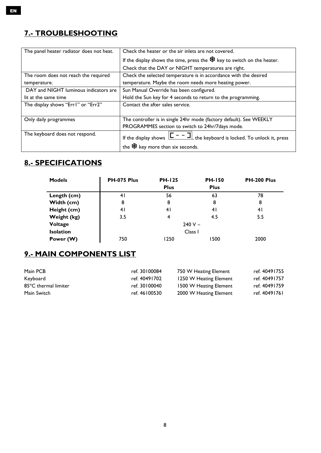## **7.- TROUBLESHOOTING**

| The panel heater radiator does not heat. | Check the heater or the air inlets are not covered.                                        |
|------------------------------------------|--------------------------------------------------------------------------------------------|
|                                          | If the display shows the time, press the $\frac{4}{3}$ key to switch on the heater.        |
|                                          | Check that the DAY or NIGHT temperatures are right.                                        |
| The room does not reach the required     | Check the selected temperature is in accordance with the desired                           |
| temperature.                             | temperature. Maybe the room needs more heating power.                                      |
| DAY and NIGHT luminous indicators are    | Sun Manual Override has been configured.                                                   |
| lit at the same time                     | Hold the Sun key for 4 seconds to return to the programming.                               |
| The display shows "Err I" or "Err2"      | Contact the after sales service.                                                           |
|                                          |                                                                                            |
| Only daily programmes                    | The controller is in single 24hr mode (factory default). See WEEKLY                        |
|                                          | PROGRAMMES section to switch to 24hr/7days mode.                                           |
| The keyboard does not respond.           | If the display shows $\boxed{\Box - - \Box}$ , the keyboard is locked. To unlock it, press |
|                                          | the $\frac{4k}{3}$ key more than six seconds.                                              |

## **8.- SPECIFICATIONS**

| <b>Models</b>    | PH-075 Plus | <b>PH-125</b><br><b>Plus</b> | <b>PH-150</b><br><b>Plus</b> | PH-200 Plus |
|------------------|-------------|------------------------------|------------------------------|-------------|
| Length (cm)      | 41          | 56                           | 63                           | 78          |
| Width (cm)       | 8           | 8                            | 8                            | 8           |
| Height (cm)      | 41          | 41                           | 4 <sub>l</sub>               | 41          |
| Weight (kg)      | 3.5         | 4                            | 4.5                          | 5.5         |
| Voltage          |             |                              | 240 V $\sim$                 |             |
| <b>Isolation</b> |             | Class I                      |                              |             |
| Power (W)        | 750         | 1250                         | 1500                         | 2000        |

## **9.- MAIN COMPONENTS LIST**

| Main PCB             | ref. 30100084 | 750 W Heating Element  | ref. 40491755 |
|----------------------|---------------|------------------------|---------------|
| Keyboard             | ref. 40491702 | 1250 W Heating Element | ref. 40491757 |
| 85°C thermal limiter | ref. 30100040 | 1500 W Heating Element | ref. 40491759 |
| Main Switch          | ref. 46100530 | 2000 W Heating Element | ref. 40491761 |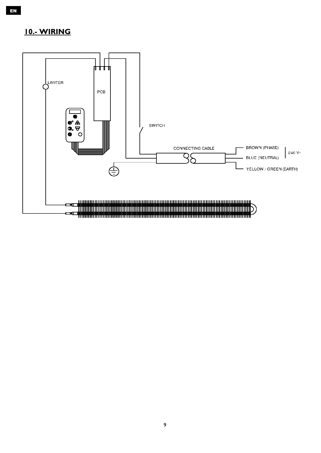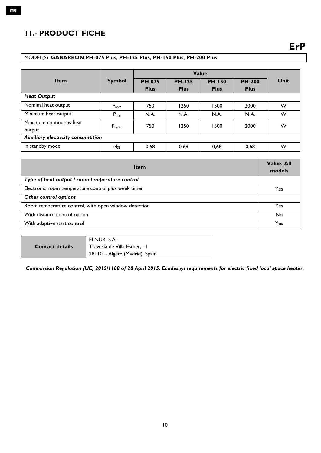## **11.- PRODUCT FICHE**

#### MODEL(S): **GABARRON PH-075 Plus, PH-125 Plus, PH-150 Plus, PH-200 Plus**

|                                   |                    |               |               | Value         |               |      |
|-----------------------------------|--------------------|---------------|---------------|---------------|---------------|------|
| <b>Item</b>                       | <b>Symbol</b>      | <b>PH-075</b> | <b>PH-125</b> | <b>PH-150</b> | <b>PH-200</b> | Unit |
|                                   |                    | <b>Plus</b>   | <b>Plus</b>   | <b>Plus</b>   | <b>Plus</b>   |      |
| <b>Heat Output</b>                |                    |               |               |               |               |      |
| Nominal heat output               | $P_{nom}$          | 750           | 1250          | 1500          | 2000          | W    |
| Minimum heat output               | $P_{min}$          | N.A.          | N.A.          | N.A.          | N.A.          | W    |
| Maximum continuous heat           | $P_{\text{max},c}$ | 750           | 1250          | 1500          | 2000          | W    |
| output                            |                    |               |               |               |               |      |
| Auxiliary electricity consumption |                    |               |               |               |               |      |
| In standby mode                   | $el_{SB}$          | 0,68          | 0,68          | 0,68          | 0,68          | W    |

| <b>Item</b>                                          | Value. All<br>models |
|------------------------------------------------------|----------------------|
| Type of heat output / room temperature control       |                      |
| Electronic room temperature control plus week timer  | Yes                  |
| Other control options                                |                      |
| Room temperature control, with open window detection | Yes                  |
| With distance control option                         | No                   |
| With adaptive start control                          | Yes                  |

|                 | ELNUR, S.A.                    |
|-----------------|--------------------------------|
| Contact details | Travesía de Villa Esther, II   |
|                 | 28110 - Algete (Madrid), Spain |

*Commission Regulation (UE) 2015/1188 of 28 April 2015. Ecodesign requirements for electric fixed local space heater.*

EN